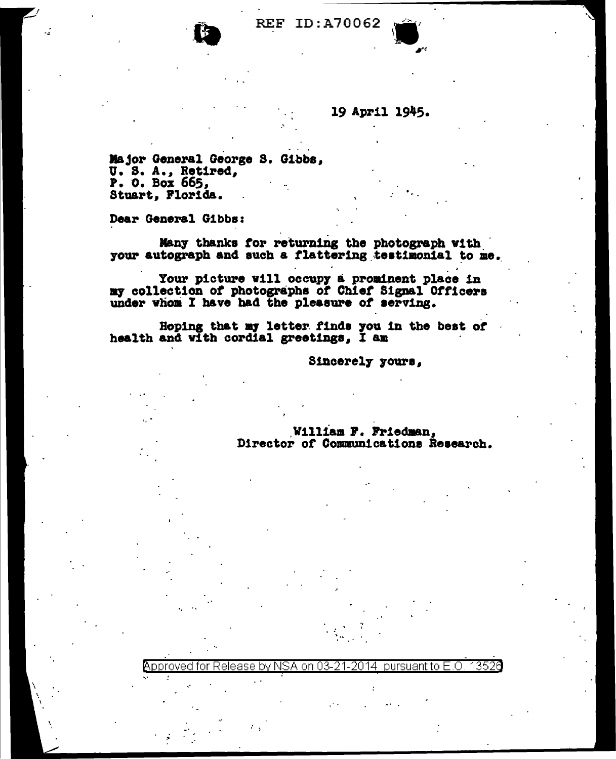## **REF ID:A70062**

## 19 April 1945.

Major General George S. Gibbs, U. S. A., Retired, P. 0. Box 665, Stuart, Florida.

Dear General Gibbs:

Many thanks for returning the photograph with your autograph and such a flattering testimonial to me.

Your picture will occupy a prominent place in my collection of photographs of Chief Signal Officers under whom I have had the pleasure of serving.

Hoping that my letter finds you in the best of health and with cordial greetings, I am

Sincerely yours,

## William F. Friedman, Director of Communications Research.

Approved for Release by NSA on 03-21-2014 13526 pursuant to E.O.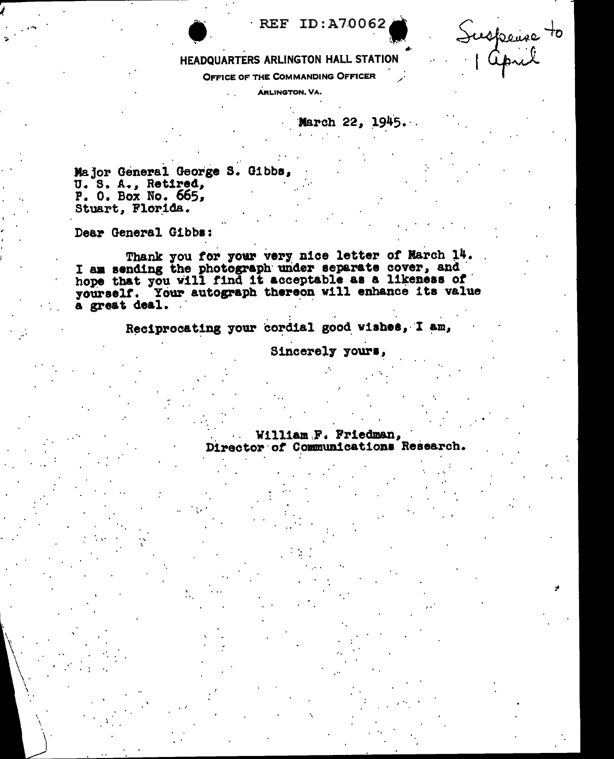## **REF ID: A70062**

HEADQUARTERS ARLINGTON HALL STATION

OFFICE OF THE COMMANDING OFFICER

**ARLINGTON, VA.** 

March 22, 1945.

Suspeire to

Major General George S. Gibbs, U.S. A., Retired, P. 0. Box No. 665, Stuart, Florida.

Dear General Gibbs:

Thank you for your very nice letter of March 14.<br>I am sending the photograph under separate cover, and<br>hope that you will find it acceptable as a likeness of yourself. Your autograph thereon will enhance its value a great deal.

Reciprocating your cordial good wishes, I am,

Sincerely yours,

William F. Friedman, Director of Communications Research.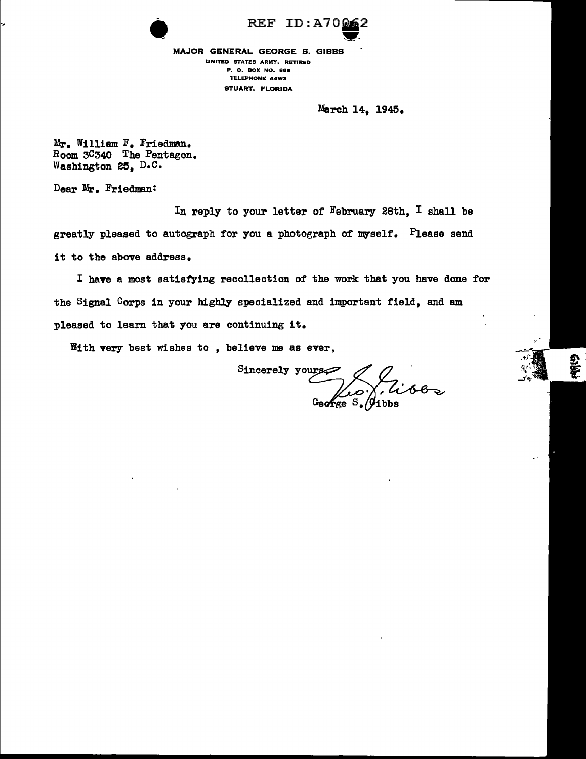REF ID:A70062 MAJOR GENERAL GEORGE S. GIBBS ·<br>·<br>· UNITED STATES ARMY, RETIRED P, O. BOX NO. BBS TELEPHONE 44W3 STUART, FLORIDA

March 14, 1945.

Mr. William F. Friedman. Room 3C340 The Pentagon. Washington 25, D.C.

Dear Mr. Friedman:

In reply to your letter of February 28th, I shall be greatly pleased to autograph for you a photograph of myself. Please send it to the above address.

I have a most satisfying recollection of the work that you have done for the Signal Corps in your highly specialized and important field, and am pleased to learn that you are continuing it.

With very best wishes to , believe me as ever,

Sincerely yours<br>George S. Gibbs

**Gibli**